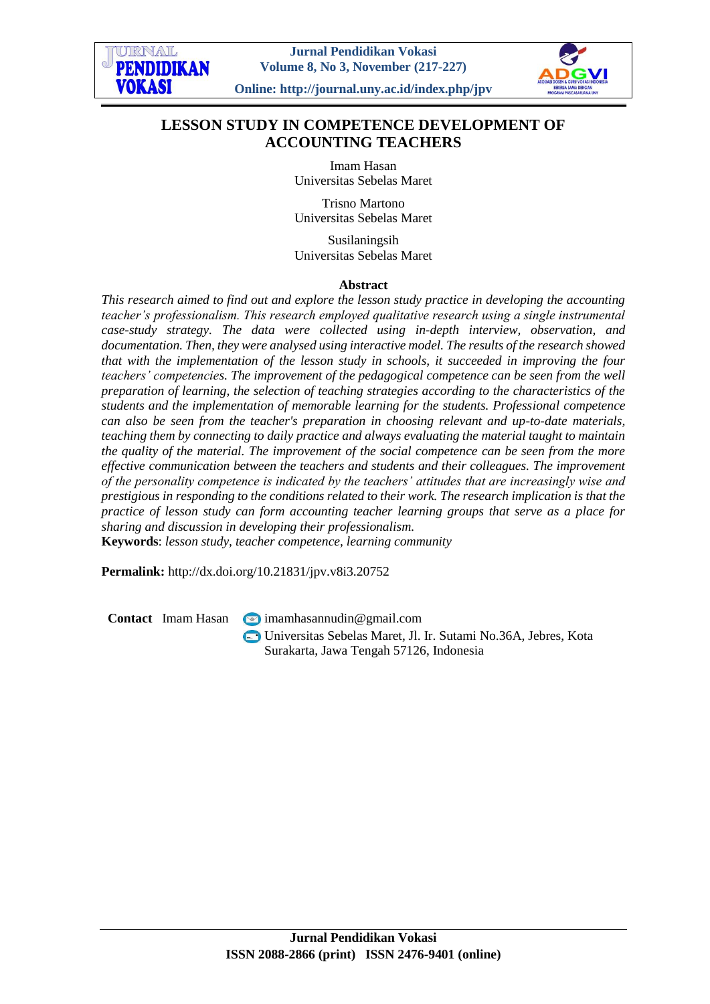

# **LESSON STUDY IN COMPETENCE DEVELOPMENT OF ACCOUNTING TEACHERS**

Imam Hasan Universitas Sebelas Maret

Trisno Martono Universitas Sebelas Maret

Susilaningsih Universitas Sebelas Maret

#### **Abstract**

*This research aimed to find out and explore the lesson study practice in developing the accounting teacher's professionalism. This research employed qualitative research using a single instrumental case-study strategy. The data were collected using in-depth interview, observation, and documentation. Then, they were analysed using interactive model. The results of the research showed that with the implementation of the lesson study in schools, it succeeded in improving the four teachers' competencies. The improvement of the pedagogical competence can be seen from the well preparation of learning, the selection of teaching strategies according to the characteristics of the students and the implementation of memorable learning for the students. Professional competence can also be seen from the teacher's preparation in choosing relevant and up-to-date materials, teaching them by connecting to daily practice and always evaluating the material taught to maintain the quality of the material. The improvement of the social competence can be seen from the more effective communication between the teachers and students and their colleagues. The improvement of the personality competence is indicated by the teachers' attitudes that are increasingly wise and prestigious in responding to the conditions related to their work. The research implication is that the practice of lesson study can form accounting teacher learning groups that serve as a place for sharing and discussion in developing their professionalism.*

**Keywords**: *lesson study, teacher competence, learning community*

**Permalink:** http://dx.doi.org/10.21831/jpv.v8i3.20752

**Contact** Imam Hasan **[imamhasannudin@gmail.com](mailto:imamhasannudin@gmail.com)** 

Universitas Sebelas Maret, Jl. Ir. Sutami No.36A, Jebres, Kota Surakarta, Jawa Tengah 57126, Indonesia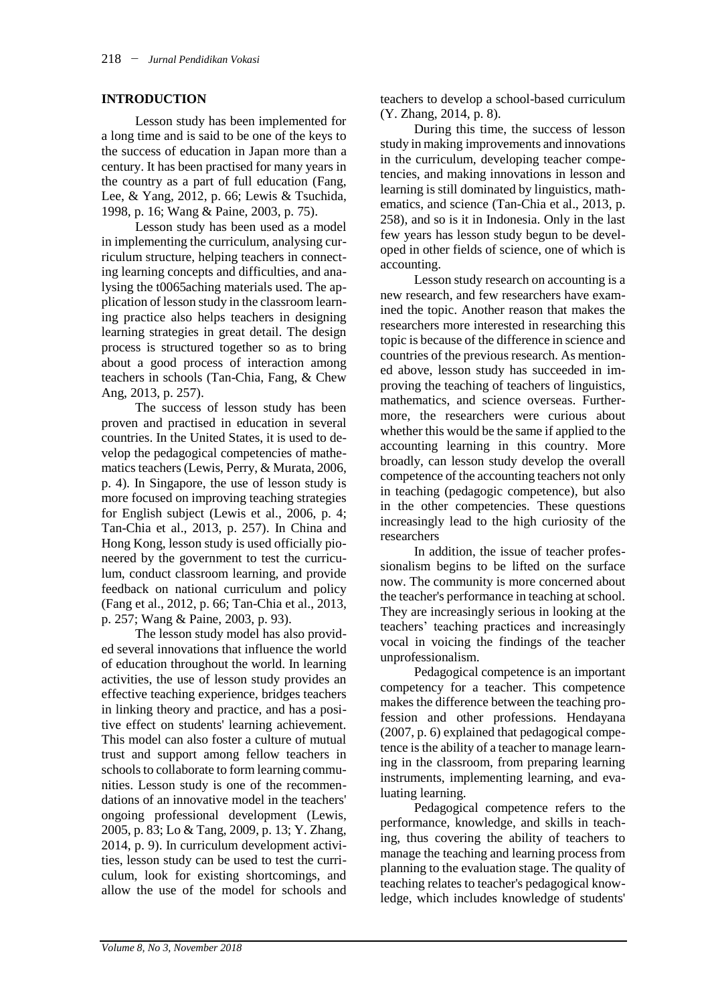## **INTRODUCTION**

Lesson study has been implemented for a long time and is said to be one of the keys to the success of education in Japan more than a century. It has been practised for many years in the country as a part of full education (Fang, Lee, & Yang, 2012, p. 66; Lewis & Tsuchida, 1998, p. 16; Wang & Paine, 2003, p. 75).

Lesson study has been used as a model in implementing the curriculum, analysing curriculum structure, helping teachers in connecting learning concepts and difficulties, and analysing the t0065aching materials used. The application of lesson study in the classroom learning practice also helps teachers in designing learning strategies in great detail. The design process is structured together so as to bring about a good process of interaction among teachers in schools (Tan-Chia, Fang, & Chew Ang, 2013, p. 257).

The success of lesson study has been proven and practised in education in several countries. In the United States, it is used to develop the pedagogical competencies of mathematics teachers (Lewis, Perry, & Murata, 2006, p. 4). In Singapore, the use of lesson study is more focused on improving teaching strategies for English subject (Lewis et al., 2006, p. 4; Tan-Chia et al., 2013, p. 257). In China and Hong Kong, lesson study is used officially pioneered by the government to test the curriculum, conduct classroom learning, and provide feedback on national curriculum and policy (Fang et al., 2012, p. 66; Tan-Chia et al., 2013, p. 257; Wang & Paine, 2003, p. 93).

The lesson study model has also provided several innovations that influence the world of education throughout the world. In learning activities, the use of lesson study provides an effective teaching experience, bridges teachers in linking theory and practice, and has a positive effect on students' learning achievement. This model can also foster a culture of mutual trust and support among fellow teachers in schools to collaborate to form learning communities. Lesson study is one of the recommendations of an innovative model in the teachers' ongoing professional development (Lewis, 2005, p. 83; Lo & Tang, 2009, p. 13; Y. Zhang, 2014, p. 9). In curriculum development activities, lesson study can be used to test the curriculum, look for existing shortcomings, and allow the use of the model for schools and teachers to develop a school-based curriculum (Y. Zhang, 2014, p. 8).

During this time, the success of lesson study in making improvements and innovations in the curriculum, developing teacher competencies, and making innovations in lesson and learning is still dominated by linguistics, mathematics, and science (Tan-Chia et al., 2013, p. 258), and so is it in Indonesia. Only in the last few years has lesson study begun to be developed in other fields of science, one of which is accounting.

Lesson study research on accounting is a new research, and few researchers have examined the topic. Another reason that makes the researchers more interested in researching this topic is because of the difference in science and countries of the previous research. As mentioned above, lesson study has succeeded in improving the teaching of teachers of linguistics, mathematics, and science overseas. Furthermore, the researchers were curious about whether this would be the same if applied to the accounting learning in this country. More broadly, can lesson study develop the overall competence of the accounting teachers not only in teaching (pedagogic competence), but also in the other competencies. These questions increasingly lead to the high curiosity of the researchers

In addition, the issue of teacher professionalism begins to be lifted on the surface now. The community is more concerned about the teacher's performance in teaching at school. They are increasingly serious in looking at the teachers' teaching practices and increasingly vocal in voicing the findings of the teacher unprofessionalism.

Pedagogical competence is an important competency for a teacher. This competence makes the difference between the teaching profession and other professions. Hendayana (2007, p. 6) explained that pedagogical competence is the ability of a teacher to manage learning in the classroom, from preparing learning instruments, implementing learning, and evaluating learning.

Pedagogical competence refers to the performance, knowledge, and skills in teaching, thus covering the ability of teachers to manage the teaching and learning process from planning to the evaluation stage. The quality of teaching relates to teacher's pedagogical knowledge, which includes knowledge of students'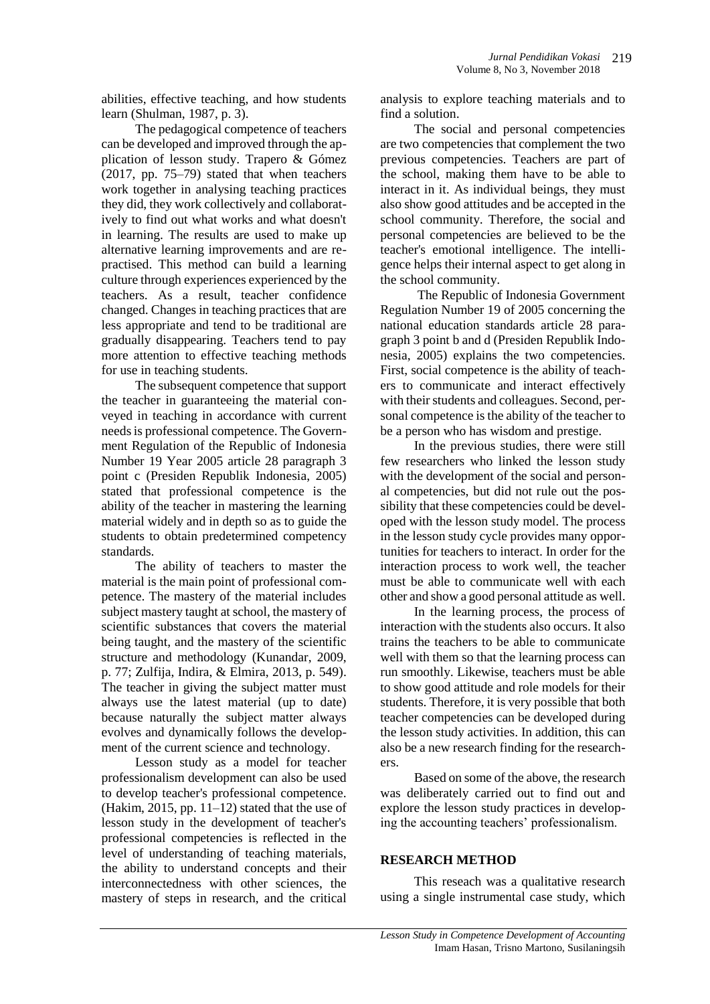abilities, effective teaching, and how students learn (Shulman, 1987, p. 3).

The pedagogical competence of teachers can be developed and improved through the application of lesson study. Trapero & Gómez (2017, pp. 75–79) stated that when teachers work together in analysing teaching practices they did, they work collectively and collaboratively to find out what works and what doesn't in learning. The results are used to make up alternative learning improvements and are repractised. This method can build a learning culture through experiences experienced by the teachers. As a result, teacher confidence changed. Changes in teaching practices that are less appropriate and tend to be traditional are gradually disappearing. Teachers tend to pay more attention to effective teaching methods for use in teaching students.

The subsequent competence that support the teacher in guaranteeing the material conveyed in teaching in accordance with current needs is professional competence. The Government Regulation of the Republic of Indonesia Number 19 Year 2005 article 28 paragraph 3 point c (Presiden Republik Indonesia, 2005) stated that professional competence is the ability of the teacher in mastering the learning material widely and in depth so as to guide the students to obtain predetermined competency standards.

The ability of teachers to master the material is the main point of professional competence. The mastery of the material includes subject mastery taught at school, the mastery of scientific substances that covers the material being taught, and the mastery of the scientific structure and methodology (Kunandar, 2009, p. 77; Zulfija, Indira, & Elmira, 2013, p. 549). The teacher in giving the subject matter must always use the latest material (up to date) because naturally the subject matter always evolves and dynamically follows the development of the current science and technology.

Lesson study as a model for teacher professionalism development can also be used to develop teacher's professional competence. (Hakim, 2015, pp.  $11-12$ ) stated that the use of lesson study in the development of teacher's professional competencies is reflected in the level of understanding of teaching materials, the ability to understand concepts and their interconnectedness with other sciences, the mastery of steps in research, and the critical

analysis to explore teaching materials and to find a solution.

The social and personal competencies are two competencies that complement the two previous competencies. Teachers are part of the school, making them have to be able to interact in it. As individual beings, they must also show good attitudes and be accepted in the school community. Therefore, the social and personal competencies are believed to be the teacher's emotional intelligence. The intelligence helps their internal aspect to get along in the school community.

The Republic of Indonesia Government Regulation Number 19 of 2005 concerning the national education standards article 28 paragraph 3 point b and d (Presiden Republik Indonesia, 2005) explains the two competencies. First, social competence is the ability of teachers to communicate and interact effectively with their students and colleagues. Second, personal competence is the ability of the teacher to be a person who has wisdom and prestige.

In the previous studies, there were still few researchers who linked the lesson study with the development of the social and personal competencies, but did not rule out the possibility that these competencies could be developed with the lesson study model. The process in the lesson study cycle provides many opportunities for teachers to interact. In order for the interaction process to work well, the teacher must be able to communicate well with each other and show a good personal attitude as well.

In the learning process, the process of interaction with the students also occurs. It also trains the teachers to be able to communicate well with them so that the learning process can run smoothly. Likewise, teachers must be able to show good attitude and role models for their students. Therefore, it is very possible that both teacher competencies can be developed during the lesson study activities. In addition, this can also be a new research finding for the researchers.

Based on some of the above, the research was deliberately carried out to find out and explore the lesson study practices in developing the accounting teachers' professionalism.

#### **RESEARCH METHOD**

This reseach was a qualitative research using a single instrumental case study, which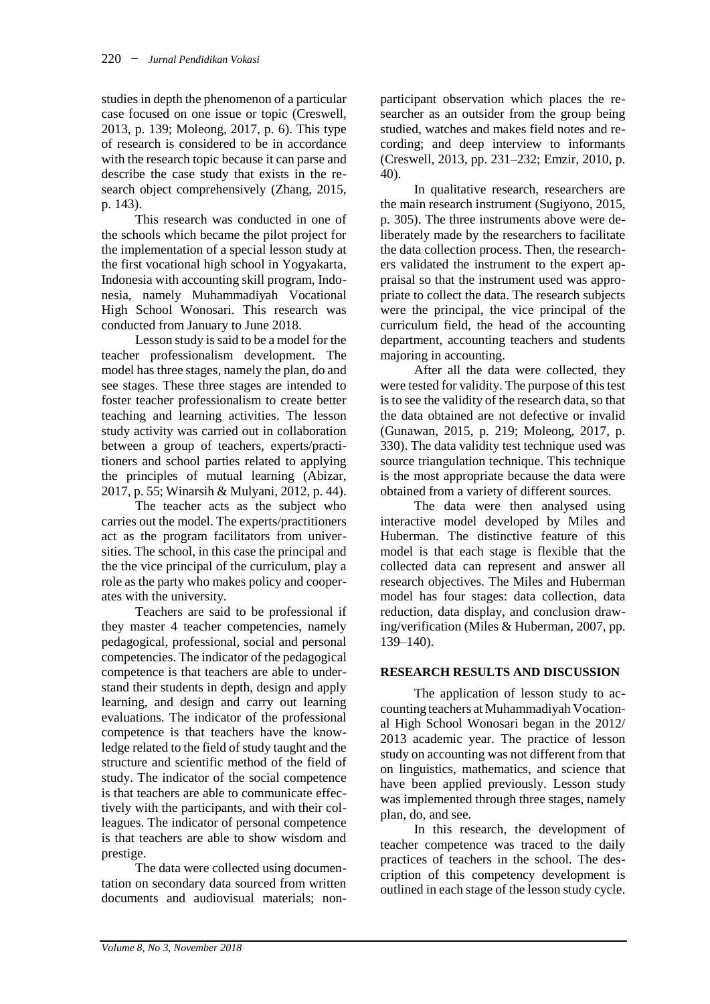studies in depth the phenomenon of a particular case focused on one issue or topic (Creswell, 2013, p. 139; Moleong, 2017, p. 6). This type of research is considered to be in accordance with the research topic because it can parse and describe the case study that exists in the research object comprehensively (Zhang, 2015, p. 143).

This research was conducted in one of the schools which became the pilot project for the implementation of a special lesson study at the first vocational high school in Yogyakarta, Indonesia with accounting skill program, Indonesia, namely Muhammadiyah Vocational High School Wonosari. This research was conducted from January to June 2018.

Lesson study is said to be a model for the teacher professionalism development. The model has three stages, namely the plan, do and see stages. These three stages are intended to foster teacher professionalism to create better teaching and learning activities. The lesson study activity was carried out in collaboration between a group of teachers, experts/practitioners and school parties related to applying the principles of mutual learning (Abizar, 2017, p. 55; Winarsih & Mulyani, 2012, p. 44).

The teacher acts as the subject who carries out the model. The experts/practitioners act as the program facilitators from universities. The school, in this case the principal and the the vice principal of the curriculum, play a role as the party who makes policy and cooperates with the university.

Teachers are said to be professional if they master 4 teacher competencies, namely pedagogical, professional, social and personal competencies. The indicator of the pedagogical competence is that teachers are able to understand their students in depth, design and apply learning, and design and carry out learning evaluations. The indicator of the professional competence is that teachers have the knowledge related to the field of study taught and the structure and scientific method of the field of study. The indicator of the social competence is that teachers are able to communicate effectively with the participants, and with their colleagues. The indicator of personal competence is that teachers are able to show wisdom and prestige.

The data were collected using documentation on secondary data sourced from written documents and audiovisual materials; nonparticipant observation which places the researcher as an outsider from the group being studied, watches and makes field notes and recording; and deep interview to informants (Creswell, 2013, pp. 231–232; Emzir, 2010, p. 40).

In qualitative research, researchers are the main research instrument (Sugiyono, 2015, p. 305). The three instruments above were deliberately made by the researchers to facilitate the data collection process. Then, the researchers validated the instrument to the expert appraisal so that the instrument used was appropriate to collect the data. The research subjects were the principal, the vice principal of the curriculum field, the head of the accounting department, accounting teachers and students majoring in accounting.

After all the data were collected, they were tested for validity. The purpose of this test is to see the validity of the research data, so that the data obtained are not defective or invalid (Gunawan, 2015, p. 219; Moleong, 2017, p. 330). The data validity test technique used was source triangulation technique. This technique is the most appropriate because the data were obtained from a variety of different sources.

The data were then analysed using interactive model developed by Miles and Huberman. The distinctive feature of this model is that each stage is flexible that the collected data can represent and answer all research objectives. The Miles and Huberman model has four stages: data collection, data reduction, data display, and conclusion drawing/verification (Miles & Huberman, 2007, pp. 139–140).

# **RESEARCH RESULTS AND DISCUSSION**

The application of lesson study to accounting teachers at Muhammadiyah Vocational High School Wonosari began in the 2012/ 2013 academic year. The practice of lesson study on accounting was not different from that on linguistics, mathematics, and science that have been applied previously. Lesson study was implemented through three stages, namely plan, do, and see.

In this research, the development of teacher competence was traced to the daily practices of teachers in the school. The description of this competency development is outlined in each stage of the lesson study cycle.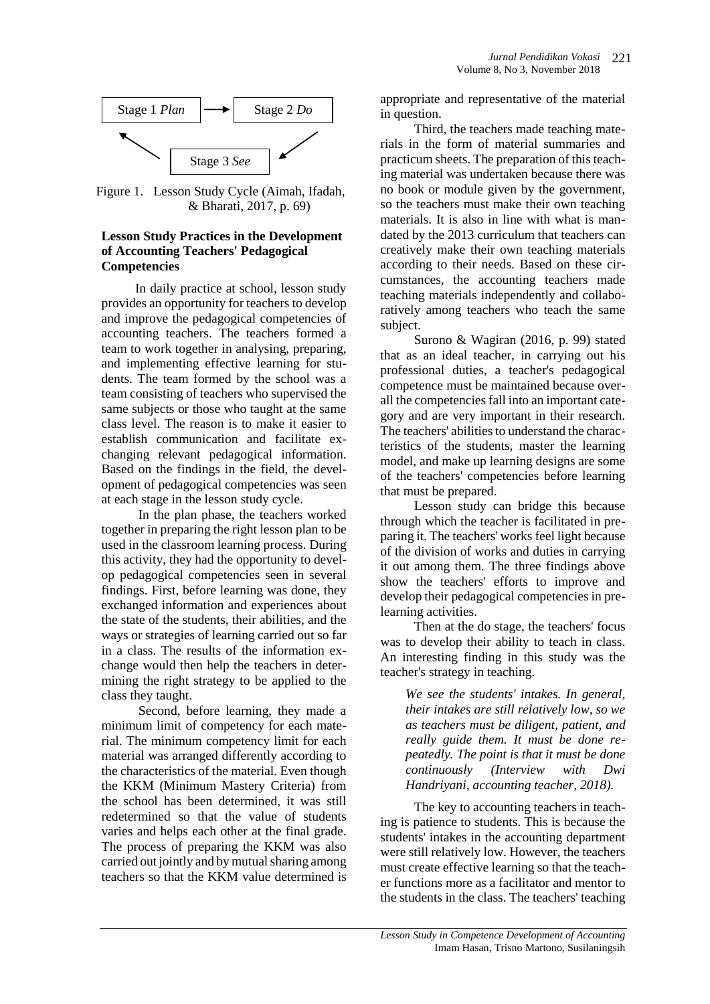

Figure 1. Lesson Study Cycle (Aimah, Ifadah, & Bharati, 2017, p. 69)

#### **Lesson Study Practices in the Development of Accounting Teachers' Pedagogical Competencies**

In daily practice at school, lesson study provides an opportunity for teachers to develop and improve the pedagogical competencies of accounting teachers. The teachers formed a team to work together in analysing, preparing, and implementing effective learning for students. The team formed by the school was a team consisting of teachers who supervised the same subjects or those who taught at the same class level. The reason is to make it easier to establish communication and facilitate exchanging relevant pedagogical information. Based on the findings in the field, the development of pedagogical competencies was seen at each stage in the lesson study cycle.

In the plan phase, the teachers worked together in preparing the right lesson plan to be used in the classroom learning process. During this activity, they had the opportunity to develop pedagogical competencies seen in several findings. First, before learning was done, they exchanged information and experiences about the state of the students, their abilities, and the ways or strategies of learning carried out so far in a class. The results of the information exchange would then help the teachers in determining the right strategy to be applied to the class they taught.

Second, before learning, they made a minimum limit of competency for each material. The minimum competency limit for each material was arranged differently according to the characteristics of the material. Even though the KKM (Minimum Mastery Criteria) from the school has been determined, it was still redetermined so that the value of students varies and helps each other at the final grade. The process of preparing the KKM was also carried out jointly and by mutual sharing among teachers so that the KKM value determined is

appropriate and representative of the material in question.

Third, the teachers made teaching materials in the form of material summaries and practicum sheets. The preparation of this teaching material was undertaken because there was no book or module given by the government, so the teachers must make their own teaching materials. It is also in line with what is mandated by the 2013 curriculum that teachers can creatively make their own teaching materials according to their needs. Based on these circumstances, the accounting teachers made teaching materials independently and collaboratively among teachers who teach the same subject.

Surono & Wagiran (2016, p. 99) stated that as an ideal teacher, in carrying out his professional duties, a teacher's pedagogical competence must be maintained because overall the competencies fall into an important category and are very important in their research. The teachers' abilities to understand the characteristics of the students, master the learning model, and make up learning designs are some of the teachers' competencies before learning that must be prepared.

Lesson study can bridge this because through which the teacher is facilitated in preparing it. The teachers' works feel light because of the division of works and duties in carrying it out among them. The three findings above show the teachers' efforts to improve and develop their pedagogical competencies in prelearning activities.

Then at the do stage, the teachers' focus was to develop their ability to teach in class. An interesting finding in this study was the teacher's strategy in teaching.

*We see the students' intakes. In general, their intakes are still relatively low, so we as teachers must be diligent, patient, and really guide them. It must be done repeatedly. The point is that it must be done continuously (Interview with Dwi Handriyani, accounting teacher, 2018).*

The key to accounting teachers in teaching is patience to students. This is because the students' intakes in the accounting department were still relatively low. However, the teachers must create effective learning so that the teacher functions more as a facilitator and mentor to the students in the class. The teachers' teaching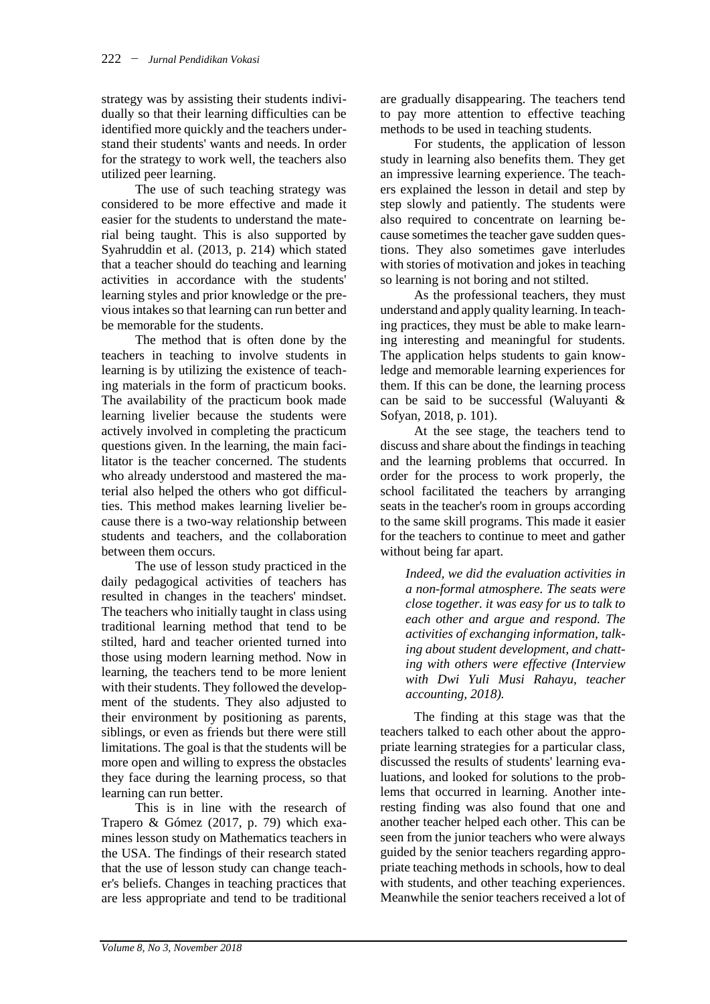strategy was by assisting their students individually so that their learning difficulties can be identified more quickly and the teachers understand their students' wants and needs. In order for the strategy to work well, the teachers also utilized peer learning.

The use of such teaching strategy was considered to be more effective and made it easier for the students to understand the material being taught. This is also supported by Syahruddin et al. (2013, p. 214) which stated that a teacher should do teaching and learning activities in accordance with the students' learning styles and prior knowledge or the previous intakes so that learning can run better and be memorable for the students.

The method that is often done by the teachers in teaching to involve students in learning is by utilizing the existence of teaching materials in the form of practicum books. The availability of the practicum book made learning livelier because the students were actively involved in completing the practicum questions given. In the learning, the main facilitator is the teacher concerned. The students who already understood and mastered the material also helped the others who got difficulties. This method makes learning livelier because there is a two-way relationship between students and teachers, and the collaboration between them occurs.

The use of lesson study practiced in the daily pedagogical activities of teachers has resulted in changes in the teachers' mindset. The teachers who initially taught in class using traditional learning method that tend to be stilted, hard and teacher oriented turned into those using modern learning method. Now in learning, the teachers tend to be more lenient with their students. They followed the development of the students. They also adjusted to their environment by positioning as parents, siblings, or even as friends but there were still limitations. The goal is that the students will be more open and willing to express the obstacles they face during the learning process, so that learning can run better.

This is in line with the research of Trapero & Gómez (2017, p. 79) which examines lesson study on Mathematics teachers in the USA. The findings of their research stated that the use of lesson study can change teacher's beliefs. Changes in teaching practices that are less appropriate and tend to be traditional

are gradually disappearing. The teachers tend to pay more attention to effective teaching methods to be used in teaching students.

For students, the application of lesson study in learning also benefits them. They get an impressive learning experience. The teachers explained the lesson in detail and step by step slowly and patiently. The students were also required to concentrate on learning because sometimes the teacher gave sudden questions. They also sometimes gave interludes with stories of motivation and jokes in teaching so learning is not boring and not stilted.

As the professional teachers, they must understand and apply quality learning. In teaching practices, they must be able to make learning interesting and meaningful for students. The application helps students to gain knowledge and memorable learning experiences for them. If this can be done, the learning process can be said to be successful (Waluyanti & Sofyan, 2018, p. 101).

At the see stage, the teachers tend to discuss and share about the findings in teaching and the learning problems that occurred. In order for the process to work properly, the school facilitated the teachers by arranging seats in the teacher's room in groups according to the same skill programs. This made it easier for the teachers to continue to meet and gather without being far apart.

*Indeed, we did the evaluation activities in a non-formal atmosphere. The seats were close together. it was easy for us to talk to each other and argue and respond. The activities of exchanging information, talking about student development, and chatting with others were effective (Interview with Dwi Yuli Musi Rahayu, teacher accounting, 2018).*

The finding at this stage was that the teachers talked to each other about the appropriate learning strategies for a particular class, discussed the results of students' learning evaluations, and looked for solutions to the problems that occurred in learning. Another interesting finding was also found that one and another teacher helped each other. This can be seen from the junior teachers who were always guided by the senior teachers regarding appropriate teaching methods in schools, how to deal with students, and other teaching experiences. Meanwhile the senior teachers received a lot of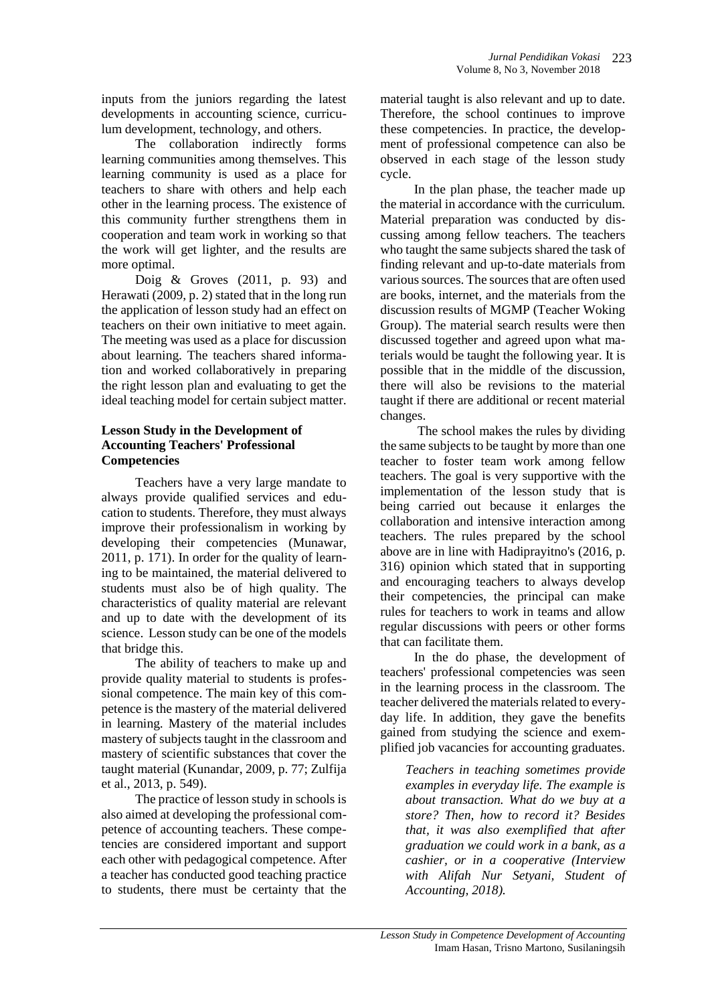inputs from the juniors regarding the latest developments in accounting science, curriculum development, technology, and others.

The collaboration indirectly forms learning communities among themselves. This learning community is used as a place for teachers to share with others and help each other in the learning process. The existence of this community further strengthens them in cooperation and team work in working so that the work will get lighter, and the results are more optimal.

Doig & Groves (2011, p. 93) and Herawati (2009, p. 2) stated that in the long run the application of lesson study had an effect on teachers on their own initiative to meet again. The meeting was used as a place for discussion about learning. The teachers shared information and worked collaboratively in preparing the right lesson plan and evaluating to get the ideal teaching model for certain subject matter.

## **Lesson Study in the Development of Accounting Teachers' Professional Competencies**

Teachers have a very large mandate to always provide qualified services and education to students. Therefore, they must always improve their professionalism in working by developing their competencies (Munawar, 2011, p. 171). In order for the quality of learning to be maintained, the material delivered to students must also be of high quality. The characteristics of quality material are relevant and up to date with the development of its science. Lesson study can be one of the models that bridge this.

The ability of teachers to make up and provide quality material to students is professional competence. The main key of this competence is the mastery of the material delivered in learning. Mastery of the material includes mastery of subjects taught in the classroom and mastery of scientific substances that cover the taught material (Kunandar, 2009, p. 77; Zulfija et al., 2013, p. 549).

The practice of lesson study in schools is also aimed at developing the professional competence of accounting teachers. These competencies are considered important and support each other with pedagogical competence. After a teacher has conducted good teaching practice to students, there must be certainty that the

material taught is also relevant and up to date. Therefore, the school continues to improve these competencies. In practice, the development of professional competence can also be observed in each stage of the lesson study cycle.

In the plan phase, the teacher made up the material in accordance with the curriculum. Material preparation was conducted by discussing among fellow teachers. The teachers who taught the same subjects shared the task of finding relevant and up-to-date materials from various sources. The sources that are often used are books, internet, and the materials from the discussion results of MGMP (Teacher Woking Group). The material search results were then discussed together and agreed upon what materials would be taught the following year. It is possible that in the middle of the discussion, there will also be revisions to the material taught if there are additional or recent material changes.

The school makes the rules by dividing the same subjects to be taught by more than one teacher to foster team work among fellow teachers. The goal is very supportive with the implementation of the lesson study that is being carried out because it enlarges the collaboration and intensive interaction among teachers. The rules prepared by the school above are in line with Hadiprayitno's (2016, p. 316) opinion which stated that in supporting and encouraging teachers to always develop their competencies, the principal can make rules for teachers to work in teams and allow regular discussions with peers or other forms that can facilitate them.

In the do phase, the development of teachers' professional competencies was seen in the learning process in the classroom. The teacher delivered the materials related to everyday life. In addition, they gave the benefits gained from studying the science and exemplified job vacancies for accounting graduates.

*Teachers in teaching sometimes provide examples in everyday life. The example is about transaction. What do we buy at a store? Then, how to record it? Besides that, it was also exemplified that after graduation we could work in a bank, as a cashier, or in a cooperative (Interview with Alifah Nur Setyani, Student of Accounting, 2018).*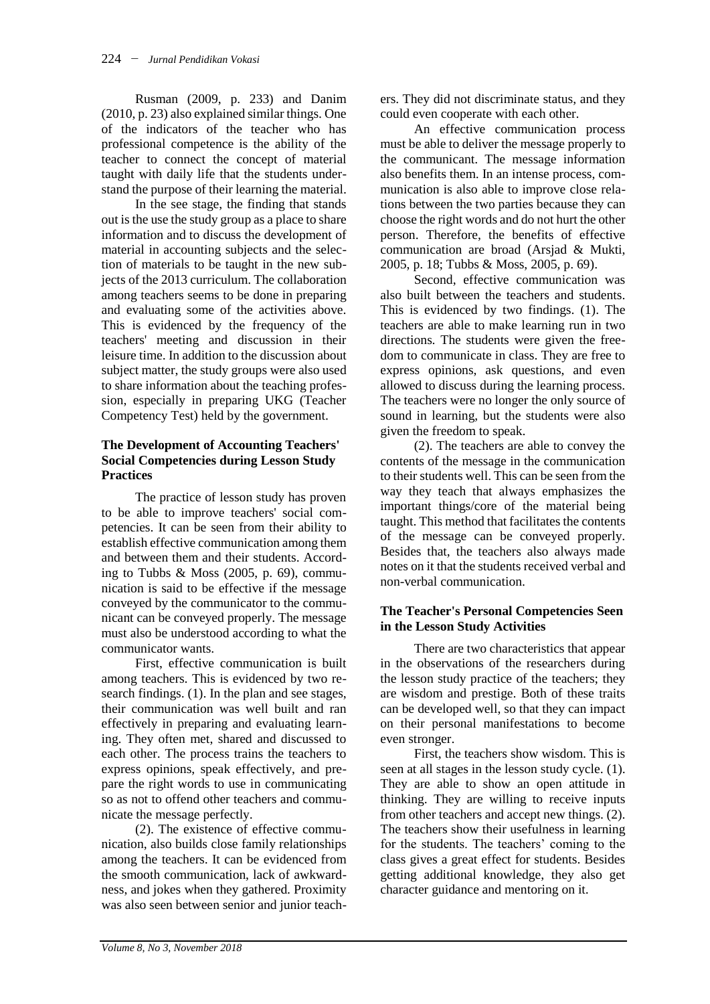Rusman (2009, p. 233) and Danim (2010, p. 23) also explained similar things. One of the indicators of the teacher who has professional competence is the ability of the teacher to connect the concept of material taught with daily life that the students understand the purpose of their learning the material.

In the see stage, the finding that stands out is the use the study group as a place to share information and to discuss the development of material in accounting subjects and the selection of materials to be taught in the new subjects of the 2013 curriculum. The collaboration among teachers seems to be done in preparing and evaluating some of the activities above. This is evidenced by the frequency of the teachers' meeting and discussion in their leisure time. In addition to the discussion about subject matter, the study groups were also used to share information about the teaching profession, especially in preparing UKG (Teacher Competency Test) held by the government.

## **The Development of Accounting Teachers' Social Competencies during Lesson Study Practices**

The practice of lesson study has proven to be able to improve teachers' social competencies. It can be seen from their ability to establish effective communication among them and between them and their students. According to Tubbs & Moss (2005, p. 69), communication is said to be effective if the message conveyed by the communicator to the communicant can be conveyed properly. The message must also be understood according to what the communicator wants.

First, effective communication is built among teachers. This is evidenced by two research findings. (1). In the plan and see stages, their communication was well built and ran effectively in preparing and evaluating learning. They often met, shared and discussed to each other. The process trains the teachers to express opinions, speak effectively, and prepare the right words to use in communicating so as not to offend other teachers and communicate the message perfectly.

(2). The existence of effective communication, also builds close family relationships among the teachers. It can be evidenced from the smooth communication, lack of awkwardness, and jokes when they gathered. Proximity was also seen between senior and junior teachers. They did not discriminate status, and they could even cooperate with each other.

An effective communication process must be able to deliver the message properly to the communicant. The message information also benefits them. In an intense process, communication is also able to improve close relations between the two parties because they can choose the right words and do not hurt the other person. Therefore, the benefits of effective communication are broad (Arsjad & Mukti, 2005, p. 18; Tubbs & Moss, 2005, p. 69).

Second, effective communication was also built between the teachers and students. This is evidenced by two findings. (1). The teachers are able to make learning run in two directions. The students were given the freedom to communicate in class. They are free to express opinions, ask questions, and even allowed to discuss during the learning process. The teachers were no longer the only source of sound in learning, but the students were also given the freedom to speak.

(2). The teachers are able to convey the contents of the message in the communication to their students well. This can be seen from the way they teach that always emphasizes the important things/core of the material being taught. This method that facilitates the contents of the message can be conveyed properly. Besides that, the teachers also always made notes on it that the students received verbal and non-verbal communication.

## **The Teacher's Personal Competencies Seen in the Lesson Study Activities**

There are two characteristics that appear in the observations of the researchers during the lesson study practice of the teachers; they are wisdom and prestige. Both of these traits can be developed well, so that they can impact on their personal manifestations to become even stronger.

First, the teachers show wisdom. This is seen at all stages in the lesson study cycle. (1). They are able to show an open attitude in thinking. They are willing to receive inputs from other teachers and accept new things. (2). The teachers show their usefulness in learning for the students. The teachers' coming to the class gives a great effect for students. Besides getting additional knowledge, they also get character guidance and mentoring on it.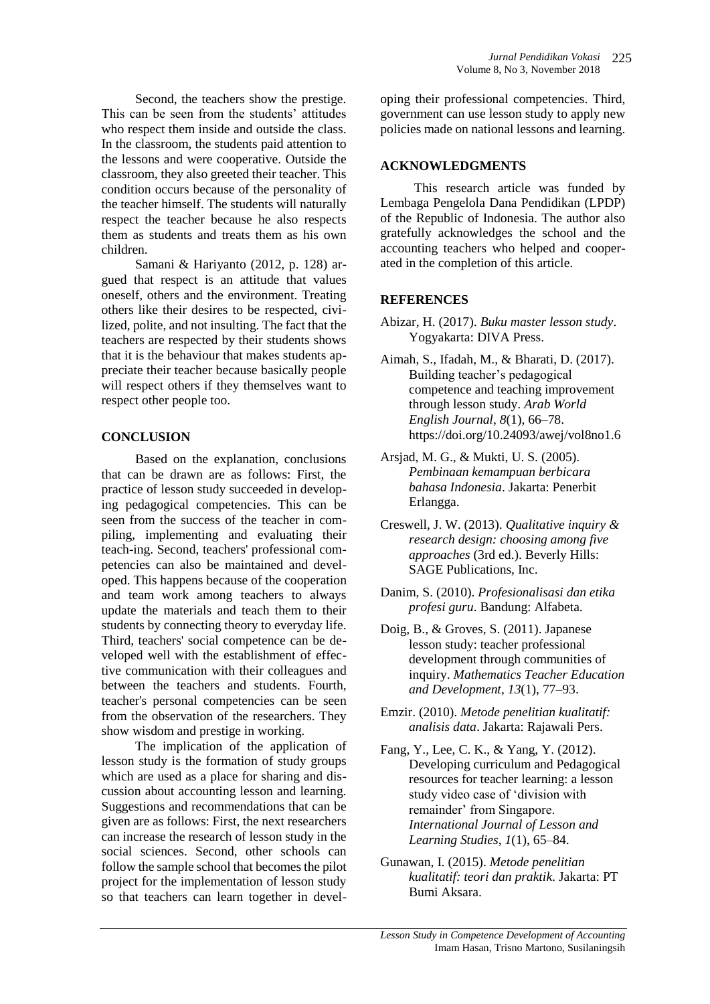Second, the teachers show the prestige. This can be seen from the students' attitudes who respect them inside and outside the class. In the classroom, the students paid attention to the lessons and were cooperative. Outside the classroom, they also greeted their teacher. This condition occurs because of the personality of the teacher himself. The students will naturally respect the teacher because he also respects them as students and treats them as his own children.

Samani & Hariyanto (2012, p. 128) argued that respect is an attitude that values oneself, others and the environment. Treating others like their desires to be respected, civilized, polite, and not insulting. The fact that the teachers are respected by their students shows that it is the behaviour that makes students appreciate their teacher because basically people will respect others if they themselves want to respect other people too.

## **CONCLUSION**

Based on the explanation, conclusions that can be drawn are as follows: First, the practice of lesson study succeeded in developing pedagogical competencies. This can be seen from the success of the teacher in compiling, implementing and evaluating their teach-ing. Second, teachers' professional competencies can also be maintained and developed. This happens because of the cooperation and team work among teachers to always update the materials and teach them to their students by connecting theory to everyday life. Third, teachers' social competence can be developed well with the establishment of effective communication with their colleagues and between the teachers and students. Fourth, teacher's personal competencies can be seen from the observation of the researchers. They show wisdom and prestige in working.

The implication of the application of lesson study is the formation of study groups which are used as a place for sharing and discussion about accounting lesson and learning. Suggestions and recommendations that can be given are as follows: First, the next researchers can increase the research of lesson study in the social sciences. Second, other schools can follow the sample school that becomes the pilot project for the implementation of lesson study so that teachers can learn together in developing their professional competencies. Third, government can use lesson study to apply new policies made on national lessons and learning.

#### **ACKNOWLEDGMENTS**

This research article was funded by Lembaga Pengelola Dana Pendidikan (LPDP) of the Republic of Indonesia. The author also gratefully acknowledges the school and the accounting teachers who helped and cooperated in the completion of this article.

## **REFERENCES**

- Abizar, H. (2017). *Buku master lesson study*. Yogyakarta: DIVA Press.
- Aimah, S., Ifadah, M., & Bharati, D. (2017). Building teacher's pedagogical competence and teaching improvement through lesson study. *Arab World English Journal*, *8*(1), 66–78. https://doi.org/10.24093/awej/vol8no1.6
- Arsjad, M. G., & Mukti, U. S. (2005). *Pembinaan kemampuan berbicara bahasa Indonesia*. Jakarta: Penerbit Erlangga.
- Creswell, J. W. (2013). *Qualitative inquiry & research design: choosing among five approaches* (3rd ed.). Beverly Hills: SAGE Publications, Inc.
- Danim, S. (2010). *Profesionalisasi dan etika profesi guru*. Bandung: Alfabeta.
- Doig, B., & Groves, S. (2011). Japanese lesson study: teacher professional development through communities of inquiry. *Mathematics Teacher Education and Development*, *13*(1), 77–93.
- Emzir. (2010). *Metode penelitian kualitatif: analisis data*. Jakarta: Rajawali Pers.
- Fang, Y., Lee, C. K., & Yang, Y. (2012). Developing curriculum and Pedagogical resources for teacher learning: a lesson study video case of 'division with remainder' from Singapore. *International Journal of Lesson and Learning Studies*, *1*(1), 65–84.
- Gunawan, I. (2015). *Metode penelitian kualitatif: teori dan praktik*. Jakarta: PT Bumi Aksara.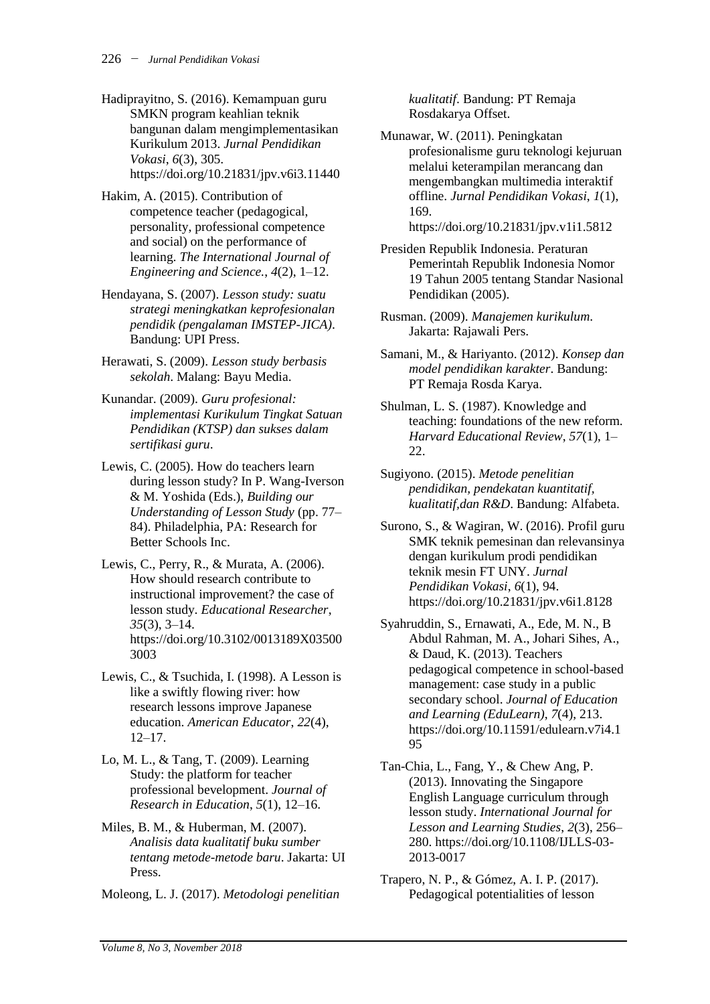- Hadiprayitno, S. (2016). Kemampuan guru SMKN program keahlian teknik bangunan dalam mengimplementasikan Kurikulum 2013. *Jurnal Pendidikan Vokasi*, *6*(3), 305. https://doi.org/10.21831/jpv.v6i3.11440
- Hakim, A. (2015). Contribution of competence teacher (pedagogical, personality, professional competence and social) on the performance of learning. *The International Journal of Engineering and Science.*, *4*(2), 1–12.
- Hendayana, S. (2007). *Lesson study: suatu strategi meningkatkan keprofesionalan pendidik (pengalaman IMSTEP-JICA)*. Bandung: UPI Press.
- Herawati, S. (2009). *Lesson study berbasis sekolah*. Malang: Bayu Media.
- Kunandar. (2009). *Guru profesional: implementasi Kurikulum Tingkat Satuan Pendidikan (KTSP) dan sukses dalam sertifikasi guru*.
- Lewis, C. (2005). How do teachers learn during lesson study? In P. Wang-Iverson & M. Yoshida (Eds.), *Building our Understanding of Lesson Study* (pp. 77– 84). Philadelphia, PA: Research for Better Schools Inc.
- Lewis, C., Perry, R., & Murata, A. (2006). How should research contribute to instructional improvement? the case of lesson study. *Educational Researcher*, *35*(3), 3–14. https://doi.org/10.3102/0013189X03500 3003
- Lewis, C., & Tsuchida, I. (1998). A Lesson is like a swiftly flowing river: how research lessons improve Japanese education. *American Educator*, *22*(4), 12–17.
- Lo, M. L., & Tang, T. (2009). Learning Study: the platform for teacher professional bevelopment. *Journal of Research in Education*, *5*(1), 12–16.
- Miles, B. M., & Huberman, M. (2007). *Analisis data kualitatif buku sumber tentang metode-metode baru*. Jakarta: UI Press.
- Moleong, L. J. (2017). *Metodologi penelitian*

*kualitatif*. Bandung: PT Remaja Rosdakarya Offset.

Munawar, W. (2011). Peningkatan profesionalisme guru teknologi kejuruan melalui keterampilan merancang dan mengembangkan multimedia interaktif offline. *Jurnal Pendidikan Vokasi*, *1*(1), 169.

```
https://doi.org/10.21831/jpv.v1i1.5812
```
- Presiden Republik Indonesia. Peraturan Pemerintah Republik Indonesia Nomor 19 Tahun 2005 tentang Standar Nasional Pendidikan (2005).
- Rusman. (2009). *Manajemen kurikulum*. Jakarta: Rajawali Pers.
- Samani, M., & Hariyanto. (2012). *Konsep dan model pendidikan karakter*. Bandung: PT Remaja Rosda Karya.
- Shulman, L. S. (1987). Knowledge and teaching: foundations of the new reform. *Harvard Educational Review*, *57*(1), 1– 22.
- Sugiyono. (2015). *Metode penelitian pendidikan, pendekatan kuantitatif, kualitatif,dan R&D*. Bandung: Alfabeta.
- Surono, S., & Wagiran, W. (2016). Profil guru SMK teknik pemesinan dan relevansinya dengan kurikulum prodi pendidikan teknik mesin FT UNY. *Jurnal Pendidikan Vokasi*, *6*(1), 94. https://doi.org/10.21831/jpv.v6i1.8128
- Syahruddin, S., Ernawati, A., Ede, M. N., B Abdul Rahman, M. A., Johari Sihes, A., & Daud, K. (2013). Teachers pedagogical competence in school-based management: case study in a public secondary school. *Journal of Education and Learning (EduLearn)*, *7*(4), 213. https://doi.org/10.11591/edulearn.v7i4.1 95
- Tan-Chia, L., Fang, Y., & Chew Ang, P. (2013). Innovating the Singapore English Language curriculum through lesson study. *International Journal for Lesson and Learning Studies*, *2*(3), 256– 280. https://doi.org/10.1108/IJLLS-03- 2013-0017
- Trapero, N. P., & Gómez, A. I. P. (2017). Pedagogical potentialities of lesson